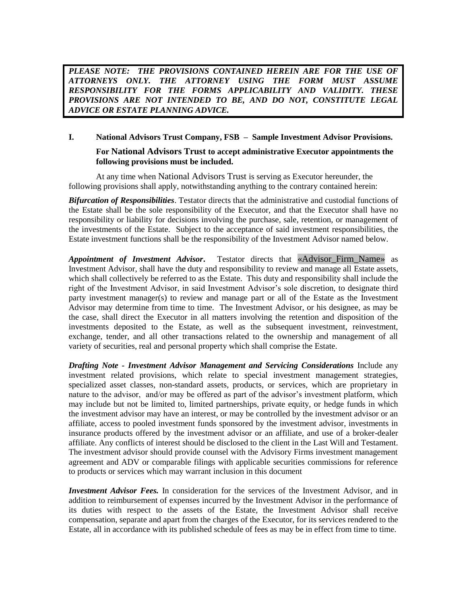*PLEASE NOTE: THE PROVISIONS CONTAINED HEREIN ARE FOR THE USE OF ATTORNEYS ONLY. THE ATTORNEY USING THE FORM MUST ASSUME RESPONSIBILITY FOR THE FORMS APPLICABILITY AND VALIDITY. THESE PROVISIONS ARE NOT INTENDED TO BE, AND DO NOT, CONSTITUTE LEGAL ADVICE OR ESTATE PLANNING ADVICE.* 

## **I. National Advisors Trust Company, FSB – Sample Investment Advisor Provisions. For National Advisors Trust to accept administrative Executor appointments the following provisions must be included.**

At any time when National Advisors Trust is serving as Executor hereunder, the following provisions shall apply, notwithstanding anything to the contrary contained herein:

*Bifurcation of Responsibilities*. Testator directs that the administrative and custodial functions of the Estate shall be the sole responsibility of the Executor, and that the Executor shall have no responsibility or liability for decisions involving the purchase, sale, retention, or management of the investments of the Estate. Subject to the acceptance of said investment responsibilities, the Estate investment functions shall be the responsibility of the Investment Advisor named below.

*Appointment of Investment Advisor***.** Testator directs that «Advisor\_Firm\_Name» as Investment Advisor, shall have the duty and responsibility to review and manage all Estate assets, which shall collectively be referred to as the Estate. This duty and responsibility shall include the right of the Investment Advisor, in said Investment Advisor's sole discretion, to designate third party investment manager(s) to review and manage part or all of the Estate as the Investment Advisor may determine from time to time. The Investment Advisor, or his designee, as may be the case, shall direct the Executor in all matters involving the retention and disposition of the investments deposited to the Estate, as well as the subsequent investment, reinvestment, exchange, tender, and all other transactions related to the ownership and management of all variety of securities, real and personal property which shall comprise the Estate.

*Drafting Note - Investment Advisor Management and Servicing Considerations* Include any investment related provisions, which relate to special investment management strategies, specialized asset classes, non-standard assets, products, or services, which are proprietary in nature to the advisor, and/or may be offered as part of the advisor's investment platform, which may include but not be limited to, limited partnerships, private equity, or hedge funds in which the investment advisor may have an interest, or may be controlled by the investment advisor or an affiliate, access to pooled investment funds sponsored by the investment advisor, investments in insurance products offered by the investment advisor or an affiliate, and use of a broker-dealer affiliate. Any conflicts of interest should be disclosed to the client in the Last Will and Testament. The investment advisor should provide counsel with the Advisory Firms investment management agreement and ADV or comparable filings with applicable securities commissions for reference to products or services which may warrant inclusion in this document

*Investment Advisor Fees.* In consideration for the services of the Investment Advisor, and in addition to reimbursement of expenses incurred by the Investment Advisor in the performance of its duties with respect to the assets of the Estate, the Investment Advisor shall receive compensation, separate and apart from the charges of the Executor, for its services rendered to the Estate, all in accordance with its published schedule of fees as may be in effect from time to time.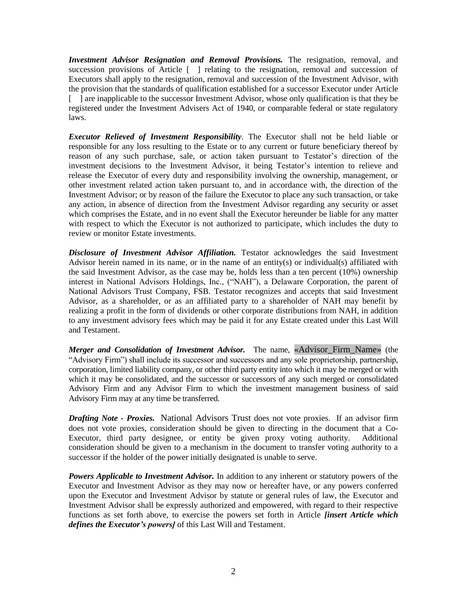*Investment Advisor Resignation and Removal Provisions.* The resignation, removal, and succession provisions of Article [ ] relating to the resignation, removal and succession of Executors shall apply to the resignation, removal and succession of the Investment Advisor, with the provision that the standards of qualification established for a successor Executor under Article [ ] are inapplicable to the successor Investment Advisor, whose only qualification is that they be registered under the Investment Advisers Act of 1940, or comparable federal or state regulatory laws.

*Executor Relieved of Investment Responsibility*. The Executor shall not be held liable or responsible for any loss resulting to the Estate or to any current or future beneficiary thereof by reason of any such purchase, sale, or action taken pursuant to Testator's direction of the investment decisions to the Investment Advisor, it being Testator's intention to relieve and release the Executor of every duty and responsibility involving the ownership, management, or other investment related action taken pursuant to, and in accordance with, the direction of the Investment Advisor; or by reason of the failure the Executor to place any such transaction, or take any action, in absence of direction from the Investment Advisor regarding any security or asset which comprises the Estate, and in no event shall the Executor hereunder be liable for any matter with respect to which the Executor is not authorized to participate, which includes the duty to review or monitor Estate investments.

*Disclosure of Investment Advisor Affiliation.* Testator acknowledges the said Investment Advisor herein named in its name, or in the name of an entity(s) or individual(s) affiliated with the said Investment Advisor, as the case may be, holds less than a ten percent (10%) ownership interest in National Advisors Holdings, Inc., ("NAH"), a Delaware Corporation, the parent of National Advisors Trust Company, FSB. Testator recognizes and accepts that said Investment Advisor, as a shareholder, or as an affiliated party to a shareholder of NAH may benefit by realizing a profit in the form of dividends or other corporate distributions from NAH, in addition to any investment advisory fees which may be paid it for any Estate created under this Last Will and Testament.

*Merger and Consolidation of Investment Advisor.* The name, «Advisor\_Firm\_Name» (the "Advisory Firm") shall include its successor and successors and any sole proprietorship, partnership, corporation, limited liability company, or other third party entity into which it may be merged or with which it may be consolidated, and the successor or successors of any such merged or consolidated Advisory Firm and any Advisor Firm to which the investment management business of said Advisory Firm may at any time be transferred.

*Drafting Note - Proxies.* National Advisors Trust does not vote proxies. If an advisor firm does not vote proxies, consideration should be given to directing in the document that a Co-Executor, third party designee, or entity be given proxy voting authority. Additional consideration should be given to a mechanism in the document to transfer voting authority to a successor if the holder of the power initially designated is unable to serve.

*Powers Applicable to Investment Advisor.* In addition to any inherent or statutory powers of the Executor and Investment Advisor as they may now or hereafter have, or any powers conferred upon the Executor and Investment Advisor by statute or general rules of law, the Executor and Investment Advisor shall be expressly authorized and empowered, with regard to their respective functions as set forth above, to exercise the powers set forth in Article *[insert Article which defines the Executor's powers]* of this Last Will and Testament.